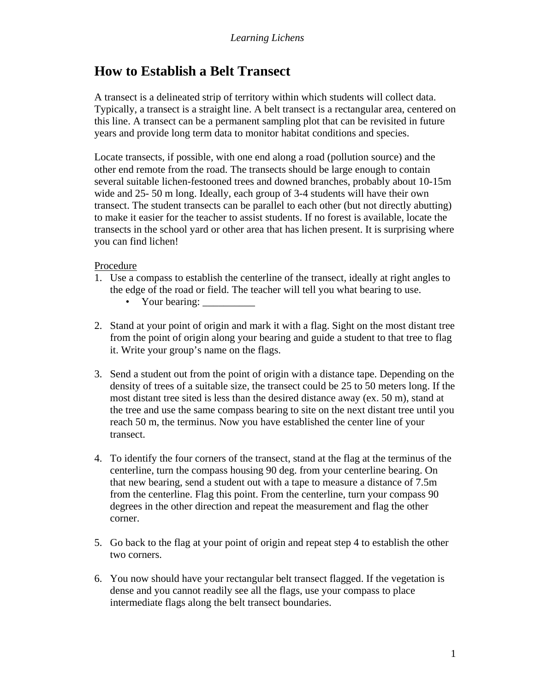## **How to Establish a Belt Transect**

A transect is a delineated strip of territory within which students will collect data. Typically, a transect is a straight line. A belt transect is a rectangular area, centered on this line. A transect can be a permanent sampling plot that can be revisited in future years and provide long term data to monitor habitat conditions and species.

Locate transects, if possible, with one end along a road (pollution source) and the other end remote from the road. The transects should be large enough to contain several suitable lichen-festooned trees and downed branches, probably about 10-15m wide and 25- 50 m long. Ideally, each group of 3-4 students will have their own transect. The student transects can be parallel to each other (but not directly abutting) to make it easier for the teacher to assist students. If no forest is available, locate the transects in the school yard or other area that has lichen present. It is surprising where you can find lichen!

## Procedure

- 1. Use a compass to establish the centerline of the transect, ideally at right angles to the edge of the road or field. The teacher will tell you what bearing to use.
	- Your bearing:
- 2. Stand at your point of origin and mark it with a flag. Sight on the most distant tree from the point of origin along your bearing and guide a student to that tree to flag it. Write your group's name on the flags.
- 3. Send a student out from the point of origin with a distance tape. Depending on the density of trees of a suitable size, the transect could be 25 to 50 meters long. If the most distant tree sited is less than the desired distance away (ex. 50 m), stand at the tree and use the same compass bearing to site on the next distant tree until you reach 50 m, the terminus. Now you have established the center line of your transect.
- 4. To identify the four corners of the transect, stand at the flag at the terminus of the centerline, turn the compass housing 90 deg. from your centerline bearing. On that new bearing, send a student out with a tape to measure a distance of 7.5m from the centerline. Flag this point. From the centerline, turn your compass 90 degrees in the other direction and repeat the measurement and flag the other corner.
- 5. Go back to the flag at your point of origin and repeat step 4 to establish the other two corners.
- 6. You now should have your rectangular belt transect flagged. If the vegetation is dense and you cannot readily see all the flags, use your compass to place intermediate flags along the belt transect boundaries.